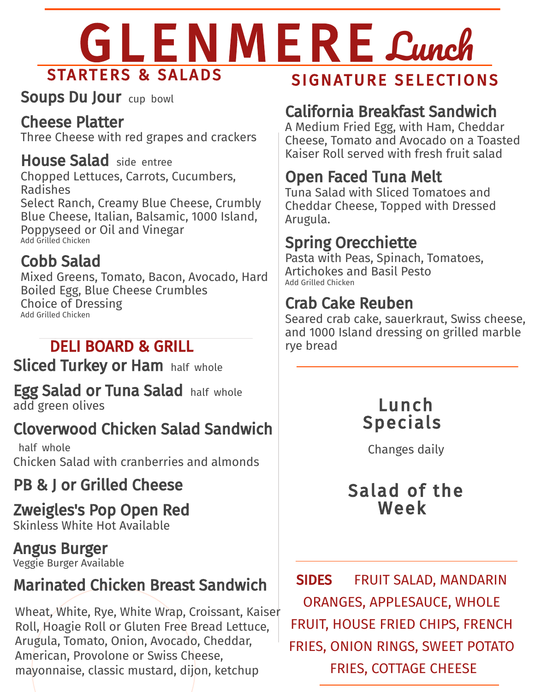# GLENMERE Cunch STARTERS & SALADS

Soups Du Jour cup bowl

#### Cheese Platter

Three Cheese with red grapes and crackers

House Salad side entree Chopped Lettuces, Carrots, Cucumbers, Radishes Select Ranch, Creamy Blue Cheese, Crumbly Blue Cheese, Italian, Balsamic, 1000 Island, Poppyseed or Oil and Vinegar Add Grilled Chicken

#### Cobb Salad

Mixed Greens, Tomato, Bacon, Avocado, Hard Boiled Egg, Blue Cheese Crumbles Choice of Dressing Add Grilled Chicken

### DELI BOARD & GRILL

**Sliced Turkey or Ham** half whole

Egg Salad or Tuna Salad half whole add green olives

### Cloverwood Chicken Salad Sandwich

half whole Chicken Salad with cranberries and almonds

#### PB & J or Grilled Cheese

#### Zweigles's Pop Open Red Skinless White Hot Available

Angus Burger Veggie Burger Available

#### Marinated Chicken Breast Sandwich

Wheat, White, Rye, White Wrap, Croissant, Kaiser Roll, Hoagie Roll or Gluten Free Bread Lettuce, Arugula, Tomato, Onion, Avocado, Cheddar, American, Provolone or Swiss Cheese, mayonnaise, classic mustard, dijon, ketchup

#### SIGNATURE SELECTIONS

#### California Breakfast Sandwich

A Medium Fried Egg, with Ham, Cheddar Cheese, Tomato and Avocado on a Toasted Kaiser Roll served with fresh fruit salad

#### Open Faced Tuna Melt

Tuna Salad with Sliced Tomatoes and Cheddar Cheese, Topped with Dressed Arugula.

#### Spring Orecchiette

Pasta with Peas, Spinach, Tomatoes, Artichokes and Basil Pesto Add Grilled Chicken

#### Crab Cake Reuben

Seared crab cake, sauerkraut, Swiss cheese, and 1000 Island dressing on grilled marble rye bread



Changes daily

#### Salad of the Week

SIDES FRUIT SALAD, MANDARIN ORANGES, APPLESAUCE, WHOLE FRUIT, HOUSE FRIED CHIPS, FRENCH FRIES, ONION RINGS, SWEET POTATO FRIES, COTTAGE CHEESE